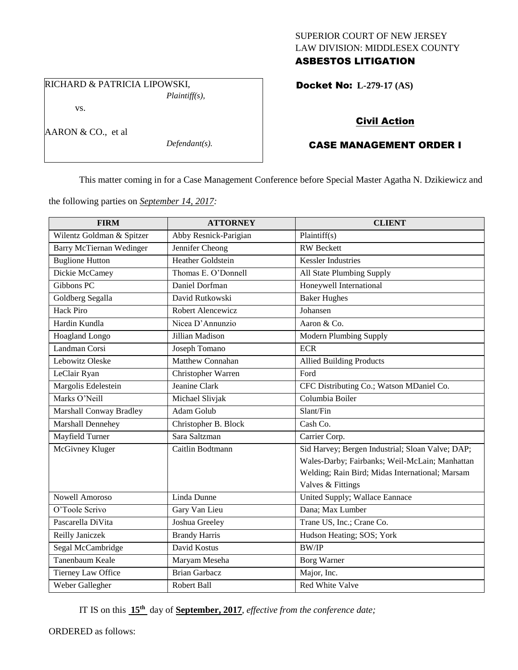## SUPERIOR COURT OF NEW JERSEY LAW DIVISION: MIDDLESEX COUNTY ASBESTOS LITIGATION

Docket No: **L-279-17 (AS)** 

vs.

AARON & CO., et al

*Defendant(s).*

*Plaintiff(s),*

## Civil Action

# CASE MANAGEMENT ORDER I

This matter coming in for a Case Management Conference before Special Master Agatha N. Dzikiewicz and

the following parties on *September 14, 2017:*

RICHARD & PATRICIA LIPOWSKI,

| <b>FIRM</b>                    | <b>ATTORNEY</b>          | <b>CLIENT</b>                                    |
|--------------------------------|--------------------------|--------------------------------------------------|
| Wilentz Goldman & Spitzer      | Abby Resnick-Parigian    | Plaintiff $(s)$                                  |
| Barry McTiernan Wedinger       | Jennifer Cheong          | <b>RW</b> Beckett                                |
| <b>Buglione Hutton</b>         | <b>Heather Goldstein</b> | <b>Kessler Industries</b>                        |
| Dickie McCamey                 | Thomas E. O'Donnell      | All State Plumbing Supply                        |
| Gibbons PC                     | Daniel Dorfman           | Honeywell International                          |
| Goldberg Segalla               | David Rutkowski          | <b>Baker Hughes</b>                              |
| <b>Hack Piro</b>               | Robert Alencewicz        | <b>Johansen</b>                                  |
| Hardin Kundla                  | Nicea D'Annunzio         | Aaron & Co.                                      |
| Hoagland Longo                 | Jillian Madison          | <b>Modern Plumbing Supply</b>                    |
| Landman Corsi                  | Joseph Tomano            | <b>ECR</b>                                       |
| Lebowitz Oleske                | Matthew Connahan         | <b>Allied Building Products</b>                  |
| LeClair Ryan                   | Christopher Warren       | Ford                                             |
| Margolis Edelestein            | Jeanine Clark            | CFC Distributing Co.; Watson MDaniel Co.         |
| Marks O'Neill                  | Michael Slivjak          | Columbia Boiler                                  |
| <b>Marshall Conway Bradley</b> | Adam Golub               | Slant/Fin                                        |
| Marshall Dennehey              | Christopher B. Block     | Cash Co.                                         |
| Mayfield Turner                | Sara Saltzman            | Carrier Corp.                                    |
| McGivney Kluger                | Caitlin Bodtmann         | Sid Harvey; Bergen Industrial; Sloan Valve; DAP; |
|                                |                          | Wales-Darby; Fairbanks; Weil-McLain; Manhattan   |
|                                |                          | Welding; Rain Bird; Midas International; Marsam  |
|                                |                          | Valves & Fittings                                |
| <b>Nowell Amoroso</b>          | Linda Dunne              | United Supply; Wallace Eannace                   |
| O'Toole Scrivo                 | Gary Van Lieu            | Dana; Max Lumber                                 |
| Pascarella DiVita              | Joshua Greeley           | Trane US, Inc.; Crane Co.                        |
| Reilly Janiczek                | <b>Brandy Harris</b>     | Hudson Heating; SOS; York                        |
| Segal McCambridge              | David Kostus             | <b>BW/IP</b>                                     |
| Tanenbaum Keale                | Maryam Meseha            | <b>Borg Warner</b>                               |
| Tierney Law Office             | <b>Brian Garbacz</b>     | Major, Inc.                                      |
| Weber Gallegher                | Robert Ball              | Red White Valve                                  |

IT IS on this **15th** day of **September, 2017**, *effective from the conference date;*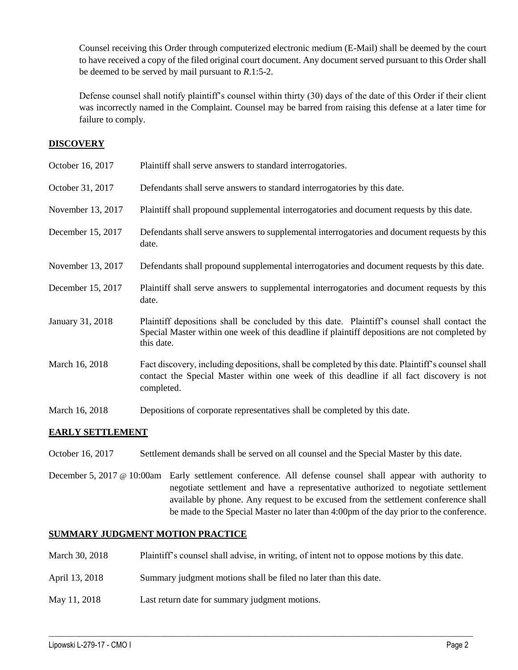Counsel receiving this Order through computerized electronic medium (E-Mail) shall be deemed by the court to have received a copy of the filed original court document. Any document served pursuant to this Order shall be deemed to be served by mail pursuant to *R*.1:5-2.

Defense counsel shall notify plaintiff's counsel within thirty (30) days of the date of this Order if their client was incorrectly named in the Complaint. Counsel may be barred from raising this defense at a later time for failure to comply.

## **DISCOVERY**

| October 16, 2017  | Plaintiff shall serve answers to standard interrogatories.                                                                                                                                                  |
|-------------------|-------------------------------------------------------------------------------------------------------------------------------------------------------------------------------------------------------------|
| October 31, 2017  | Defendants shall serve answers to standard interrogatories by this date.                                                                                                                                    |
| November 13, 2017 | Plaintiff shall propound supplemental interrogatories and document requests by this date.                                                                                                                   |
| December 15, 2017 | Defendants shall serve answers to supplemental interrogatories and document requests by this<br>date.                                                                                                       |
| November 13, 2017 | Defendants shall propound supplemental interrogatories and document requests by this date.                                                                                                                  |
| December 15, 2017 | Plaintiff shall serve answers to supplemental interrogatories and document requests by this<br>date.                                                                                                        |
| January 31, 2018  | Plaintiff depositions shall be concluded by this date. Plaintiff's counsel shall contact the<br>Special Master within one week of this deadline if plaintiff depositions are not completed by<br>this date. |
| March 16, 2018    | Fact discovery, including depositions, shall be completed by this date. Plaintiff's counsel shall<br>contact the Special Master within one week of this deadline if all fact discovery is not<br>completed. |
| March 16, 2018    | Depositions of corporate representatives shall be completed by this date.                                                                                                                                   |

# **EARLY SETTLEMENT**

October 16, 2017 Settlement demands shall be served on all counsel and the Special Master by this date.

December 5, 2017 @ 10:00am Early settlement conference. All defense counsel shall appear with authority to negotiate settlement and have a representative authorized to negotiate settlement available by phone. Any request to be excused from the settlement conference shall be made to the Special Master no later than 4:00pm of the day prior to the conference.

### **SUMMARY JUDGMENT MOTION PRACTICE**

March 30, 2018 Plaintiff's counsel shall advise, in writing, of intent not to oppose motions by this date.

 $\_$  ,  $\_$  ,  $\_$  ,  $\_$  ,  $\_$  ,  $\_$  ,  $\_$  ,  $\_$  ,  $\_$  ,  $\_$  ,  $\_$  ,  $\_$  ,  $\_$  ,  $\_$  ,  $\_$  ,  $\_$  ,  $\_$  ,  $\_$  ,  $\_$  ,  $\_$  ,  $\_$  ,  $\_$  ,  $\_$  ,  $\_$  ,  $\_$  ,  $\_$  ,  $\_$  ,  $\_$  ,  $\_$  ,  $\_$  ,  $\_$  ,  $\_$  ,  $\_$  ,  $\_$  ,  $\_$  ,  $\_$  ,  $\_$  ,

- April 13, 2018 Summary judgment motions shall be filed no later than this date.
- May 11, 2018 Last return date for summary judgment motions.